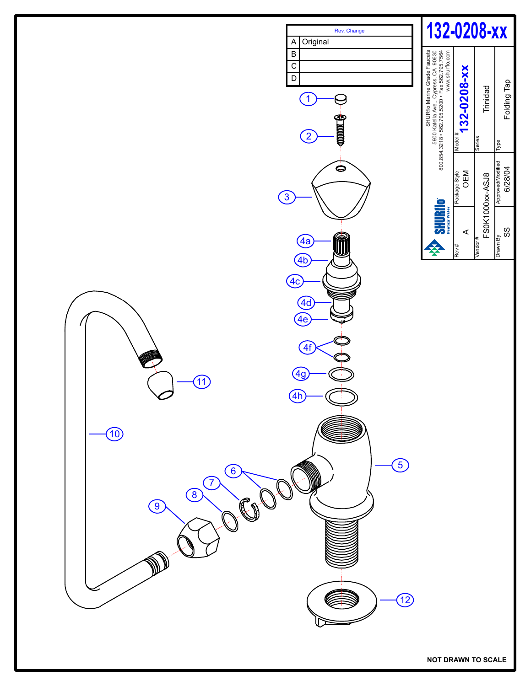